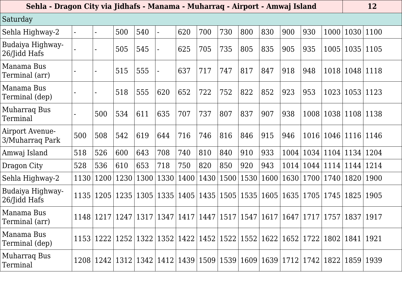| Saturday                           |      |                |      |      |                |                                                                                                        |      |      |           |      |      |      |             |             |           |
|------------------------------------|------|----------------|------|------|----------------|--------------------------------------------------------------------------------------------------------|------|------|-----------|------|------|------|-------------|-------------|-----------|
| Sehla Highway-2                    |      | $\blacksquare$ | 500  | 540  | $\blacksquare$ | 620                                                                                                    | 700  | 730  | 800       | 830  | 900  | 930  | 1000        |             | 1030 1100 |
| Budaiya Highway-<br>26/Jidd Hafs   |      |                | 505  | 545  |                | 625                                                                                                    | 705  | 735  | 805       | 835  | 905  | 935  | 1005        | 1035 1105   |           |
| Manama Bus<br>Terminal (arr)       |      | $\blacksquare$ | 515  | 555  |                | 637                                                                                                    | 717  | 747  | 817       | 847  | 918  | 948  | 1018        |             | 1048 1118 |
| Manama Bus<br>Terminal (dep)       |      |                | 518  | 555  | 620            | 652                                                                                                    | 722  | 752  | 822       | 852  | 923  | 953  | 1023        | 1053        | 1123      |
| Muharraq Bus<br>Terminal           |      | 500            | 534  | 611  | 635            | 707                                                                                                    | 737  | 807  | 837       | 907  | 938  | 1008 | 1038        | 1108        | 1138      |
| Airport Avenue-<br>3/Muharraq Park | 500  | 508            | 542  | 619  | 644            | 716                                                                                                    | 746  | 816  | 846       | 915  | 946  | 1016 | 1046        | 1116        | 1146      |
| Amwaj Island                       | 518  | 526            | 600  | 643  | 708            | 740                                                                                                    | 810  | 840  | 910       | 933  | 1004 | 1034 | 1104        |             | 1134 1204 |
| Dragon City                        | 528  | 536            | 610  | 653  | 718            | 750                                                                                                    | 820  | 850  | 920       | 943  | 1014 | 1044 | 1114        | 1144        | 1214      |
| Sehla Highway-2                    | 1130 | 1200           | 1230 | 1300 | 1330           | 1400                                                                                                   | 1430 | 1500 | 1530      | 1600 | 1630 | 1700 | 1740        | 1820        | 1900      |
| Budaiya Highway-<br>26/Jidd Hafs   | 1135 | 1205           | 1235 | 1305 | 1335           | 1405                                                                                                   | 1435 |      | 1505 1535 | 1605 | 1635 | 1705 | 1745        | 1825        | 1905      |
| Manama Bus<br>Terminal (arr)       | 1148 | 1217           | 1247 | 1317 | 1347           | 1417                                                                                                   | 1447 | 1517 | 1547      | 1617 | 1647 | 1717 | 1757        | 1837        | 1917      |
| Manama Bus<br>Terminal (dep)       |      |                |      |      |                | 1153   1222   1252   1322   1352   1422   1452   1522   1552   1622   1652   1722   1802   1841   1921 |      |      |           |      |      |      |             |             |           |
| Muharraq Bus<br>Terminal           |      |                |      |      |                | 1208   1242   1312   1342   1412   1439   1509   1539   1609   1639   1712                             |      |      |           |      |      |      | 1742   1822 | 1859   1939 |           |

## **Sehla - Dragon City via Jidhafs - Manama - Muharraq - Airport - Amwaj Island 12**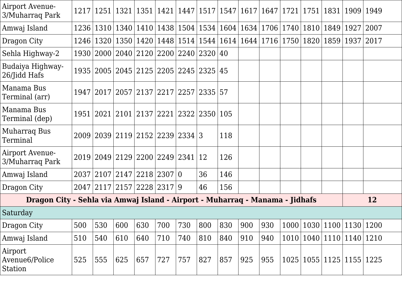| Airport Avenue-<br>3/Muharraq Park                                           |      |     |     | 1217   1251   1321   1351   1421   1447   1517   1547   1617   1647   1721   1751   1831   1909 |     |     |     |     |     |     |        |      |                | 1949 |
|------------------------------------------------------------------------------|------|-----|-----|-------------------------------------------------------------------------------------------------|-----|-----|-----|-----|-----|-----|--------|------|----------------|------|
| Amwaj Island                                                                 | 1236 |     |     | 1310   1340   1410   1438   1504   1534   1604   1634   1706   1740   1810                      |     |     |     |     |     |     |        |      | 1849   1927    | 2007 |
| Dragon City                                                                  | 1246 |     |     | 1320   1350   1420   1448   1514   1544   1614   1644   1716   1750   1820   1859   1937   2017 |     |     |     |     |     |     |        |      |                |      |
| Sehla Highway-2                                                              |      |     |     | 1930   2000   2040   2120   2200   2240   2320   40                                             |     |     |     |     |     |     |        |      |                |      |
| Budaiya Highway-<br>26/Jidd Hafs                                             |      |     |     | 1935   2005   2045   2125   2205   2245   2325   45                                             |     |     |     |     |     |     |        |      |                |      |
| Manama Bus<br>Terminal (arr)                                                 |      |     |     | 1947   2017   2057   2137   2217   2257   2335   57                                             |     |     |     |     |     |     |        |      |                |      |
| Manama Bus<br>Terminal (dep)                                                 |      |     |     | 1951   2021   2101   2137   2221   2322   2350   105                                            |     |     |     |     |     |     |        |      |                |      |
| Muharraq Bus<br>Terminal                                                     |      |     |     | 2009 2039 2119 2152 2239 2334 3                                                                 |     |     |     | 118 |     |     |        |      |                |      |
| Airport Avenue-<br>3/Muharraq Park                                           |      |     |     | 2019 2049 2129 2200 2249 2341 12                                                                |     |     |     | 126 |     |     |        |      |                |      |
| Amwaj Island                                                                 |      |     |     | 2037 2107 2147 2218 2307 0                                                                      |     |     | 36  | 146 |     |     |        |      |                |      |
| Dragon City                                                                  |      |     |     | 2047 2117 2157 2228 2317 9                                                                      |     |     | 46  | 156 |     |     |        |      |                |      |
| Dragon City - Sehla via Amwaj Island - Airport - Muharraq - Manama - Jidhafs |      |     |     |                                                                                                 |     |     |     |     |     |     |        |      |                | 12   |
| Saturday                                                                     |      |     |     |                                                                                                 |     |     |     |     |     |     |        |      |                |      |
| Dragon City                                                                  | 500  | 530 | 600 | 630                                                                                             | 700 | 730 | 800 | 830 | 900 | 930 | 1000   | 1030 | 1100 1130      | 1200 |
| Amwaj Island                                                                 | 510  | 540 | 610 | 640                                                                                             | 710 | 740 | 810 | 840 | 910 | 940 | $1010$ |      | 1040 1110 1140 | 1210 |
| Airport<br>Avenue6/Police<br>Station                                         | 525  | 555 | 625 | 657                                                                                             | 727 | 757 | 827 | 857 | 925 | 955 | 1025   |      | 1055 1125 1155 | 1225 |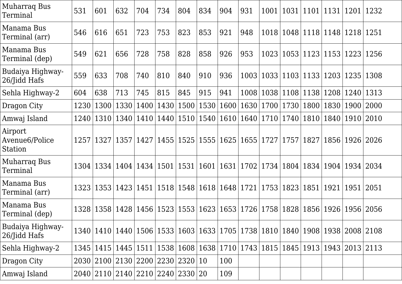| Muharraq Bus<br>Terminal             | 531  | 601  | 632                                                                                                    | 704            | 734  | 804          | 834       | 904  | 931                              | 1001                                    |      | 1031 1101                 | 1131        | 1201                                    | 1232 |
|--------------------------------------|------|------|--------------------------------------------------------------------------------------------------------|----------------|------|--------------|-----------|------|----------------------------------|-----------------------------------------|------|---------------------------|-------------|-----------------------------------------|------|
| Manama Bus<br>Terminal (arr)         | 546  | 616  | 651                                                                                                    | 723            | 753  | 823          | 853       | 921  | 948                              | 1018                                    |      | 1048 1118 1148            |             | 1218                                    | 1251 |
| Manama Bus<br>Terminal (dep)         | 549  | 621  | 656                                                                                                    | 728            | 758  | 828          | 858       | 926  | 953                              | 1023                                    |      | 1053 1123 1153            |             | 1223                                    | 1256 |
| Budaiya Highway-<br>26/Jidd Hafs     | 559  | 633  | 708                                                                                                    | 740            | 810  | 840          | 910       | 936  | 1003                             |                                         |      | 1033 1103 1133 1203       |             | 1235                                    | 1308 |
| Sehla Highway-2                      | 604  | 638  | 713                                                                                                    | 745            | 815  | 845          | 915       | 941  | 1008                             | 1038                                    |      | 1108 1138 1208            |             | 1240                                    | 1313 |
| Dragon City                          | 1230 | 1300 | 1330 1400                                                                                              |                | 1430 | 1500         | 1530      | 1600 | 1630                             | 1700                                    | 1730 | 1800   1830               |             | 1900   2000                             |      |
| Amwaj Island                         | 1240 | 1310 |                                                                                                        | 1340   1410    | 1440 |              |           |      | 1510   1540   1610   1640        | 1710                                    | 1740 |                           | 1810   1840 | 1910                                    | 2010 |
| Airport<br>Avenue6/Police<br>Station | 1257 |      | 1327 1357                                                                                              | $ 1427\rangle$ | 1455 |              | 1525 1555 |      | 1625 1655                        | 1727                                    |      | 1757   1827   1856        |             | 1926 2026                               |      |
| Muharraq Bus<br>Terminal             | 1304 | 1334 |                                                                                                        | 1404 1434      |      | $1501$  1531 | 1601      |      |                                  | 1631   1702   1734   1804   1834   1904 |      |                           |             | 1934   2034                             |      |
| Manama Bus<br>Terminal (arr)         | 1323 | 1353 | 1423 1451                                                                                              |                |      |              |           |      | 1518   1548   1618   1648   1721 | 1753                                    | 1823 | 1851                      | 1921        | 1951                                    | 2051 |
| Manama Bus<br>Terminal (dep)         | 1328 | 1358 |                                                                                                        | 1428   1456    |      |              |           |      | 1523   1553   1623   1653   1726 |                                         |      | 1758   1828   1856   1926 |             | 1956 2056                               |      |
| Budaiya Highway-<br>26/Jidd Hafs     |      |      | 1340   1410   1440   1506   1533   1603   1633   1705   1738   1810   1840   1908   1938   2008   2108 |                |      |              |           |      |                                  |                                         |      |                           |             |                                         |      |
| Sehla Highway-2                      | 1345 |      | 1415   1445   1511                                                                                     |                |      |              |           |      | 1538   1608   1638   1710   1743 |                                         |      |                           |             | 1815   1845   1913   1943   2013   2113 |      |
| Dragon City                          |      |      | 2030 2100 2130 2200 2230 2320 10                                                                       |                |      |              |           | 100  |                                  |                                         |      |                           |             |                                         |      |
| Amwaj Island                         |      |      | 2040   2110   2140   2210   2240   2330   20                                                           |                |      |              |           | 109  |                                  |                                         |      |                           |             |                                         |      |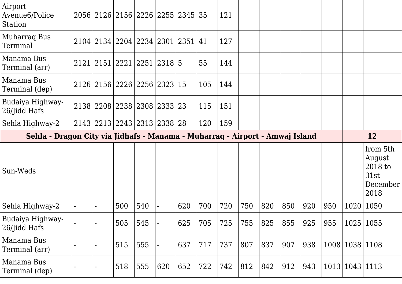| Airport<br>Avenue6/Police<br>Station                                         |                    |     | 2056 2126 2156 2226 2255 2345 35 |     |     | 121 |     |     |     |     |     |             |                                                           |
|------------------------------------------------------------------------------|--------------------|-----|----------------------------------|-----|-----|-----|-----|-----|-----|-----|-----|-------------|-----------------------------------------------------------|
| <b>Muharraq Bus</b><br>Terminal                                              |                    |     | 2104 2134 2204 2234 2301 2351    |     | 41  | 127 |     |     |     |     |     |             |                                                           |
| Manama Bus<br>Terminal (arr)                                                 | 2121   2151   2221 |     | 2251 2318 5                      |     | 55  | 144 |     |     |     |     |     |             |                                                           |
| Manama Bus<br>Terminal (dep)                                                 |                    |     | 2126 2156 2226 2256 2323         | 15  | 105 | 144 |     |     |     |     |     |             |                                                           |
| Budaiya Highway-<br>26/Jidd Hafs                                             |                    |     | 2138 2208 2238 2308 2333 23      |     | 115 | 151 |     |     |     |     |     |             |                                                           |
| Sehla Highway-2                                                              |                    |     | 2143 2213 2243 2313 2338 28      |     | 120 | 159 |     |     |     |     |     |             |                                                           |
| Sehla - Dragon City via Jidhafs - Manama - Muharraq - Airport - Amwaj Island |                    |     |                                  |     |     |     |     |     |     |     |     |             | 12                                                        |
|                                                                              |                    |     |                                  |     |     |     |     |     |     |     |     |             |                                                           |
| Sun-Weds                                                                     |                    |     |                                  |     |     |     |     |     |     |     |     |             | from 5th<br>August<br>2018 to<br>31st<br>December<br>2018 |
| Sehla Highway-2                                                              |                    | 500 | 540                              | 620 | 700 | 720 | 750 | 820 | 850 | 920 | 950 | 1020        | 1050                                                      |
| Budaiya Highway-<br>26/Jidd Hafs                                             |                    | 505 | 545                              | 625 | 705 | 725 | 755 | 825 | 855 | 925 | 955 | 1025        | 1055                                                      |
| Manama Bus<br>Terminal (arr)                                                 |                    | 515 | 555                              | 637 | 717 | 737 | 807 | 837 | 907 | 938 |     | 1008   1038 | 1108                                                      |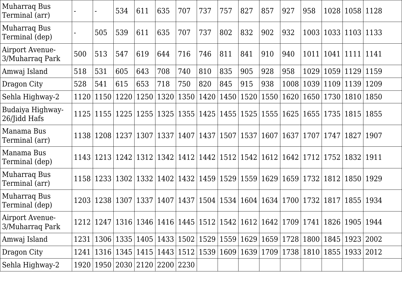| <b>Muharraq Bus</b><br>Terminal (arr)     |      |                    | 534                       | 611  | 635  | 707                                                          | 737         | 757       | 827         | 857                              | 927  | 958                                                                                             |           | 1028   1058 | 1128 |
|-------------------------------------------|------|--------------------|---------------------------|------|------|--------------------------------------------------------------|-------------|-----------|-------------|----------------------------------|------|-------------------------------------------------------------------------------------------------|-----------|-------------|------|
| Muharraq Bus<br>Terminal (dep)            |      | 505                | 539                       | 611  | 635  | 707                                                          | 737         | 802       | 832         | 902                              | 932  | 1003                                                                                            |           | 1033 1103   | 1133 |
| Airport Avenue-<br>3/Muharraq Park        | 500  | 513                | 547                       | 619  | 644  | 716                                                          | 746         | 811       | 841         | 910                              | 940  | 1011                                                                                            | 1041      | 1111        | 1141 |
| Amwaj Island                              | 518  | 531                | 605                       | 643  | 708  | 740                                                          | 810         | 835       | 905         | 928                              | 958  | 1029                                                                                            | 1059      | 1129        | 1159 |
| Dragon City                               | 528  | 541                | 615                       | 653  | 718  | 750                                                          | 820         | 845       | 915         | 938                              | 1008 | 1039                                                                                            | 1109 1139 |             | 1209 |
| Sehla Highway-2                           | 1120 | 1150               | 1220                      | 1250 | 1320 | 1350                                                         | 1420        | 1450      | 1520        | 1550                             | 1620 | 1650                                                                                            |           | 1730   1810 | 1850 |
| Budaiya Highway-<br>26/Jidd Hafs          |      |                    | 1125   1155   1225        | 1255 | 1325 |                                                              |             |           |             | 1355   1425   1455   1525   1555 | 1625 | 1655                                                                                            |           | 1735   1815 | 1855 |
| Manama Bus<br>Terminal (arr)              | 1138 | 1208 1237          |                           | 1307 | 1337 | 1407                                                         | 1437        | 1507      | 1537        | 1607                             | 1637 | 1707                                                                                            | 1747      | 1827        | 1907 |
| Manama Bus<br>Terminal (dep)              |      |                    | 1143   1213   1242   1312 |      | 1342 | 1412                                                         | 1442        |           | 1512   1542 | 1612                             | 1642 | 1712                                                                                            | 1752      | 1832        | 1911 |
| Muharraq Bus<br>Terminal (arr)            | 1158 | 1233               | 1302                      | 1332 | 1402 |                                                              | 1432   1459 | 1529 1559 |             | 1629                             | 1659 | 1732                                                                                            | 1812      | 1850        | 1929 |
| Muharraq Bus<br>Terminal (dep)            |      | 1203   1238   1307 |                           | 1337 | 1407 |                                                              |             |           |             | 1437   1504   1534   1604   1634 |      | 1700   1732                                                                                     | 1817      | 1855        | 1934 |
| <b>Airport Avenue-</b><br>3/Muharraq Park |      |                    |                           |      |      |                                                              |             |           |             |                                  |      | 1212   1247   1316   1346   1416   1445   1512   1542   1612   1642   1709   1741   1826   1905 |           |             | 1944 |
| Amwaj Island                              | 1231 |                    |                           |      |      | 1306 1335 1405 1433 1502 1529 1559 1629 1659                 |             |           |             |                                  |      | 1728   1800   1845   1923                                                                       |           |             | 2002 |
| Dragon City                               | 1241 |                    |                           |      |      | 1316   1345   1415   1443   1512   1539   1609   1639   1709 |             |           |             |                                  |      | 1738   1810                                                                                     |           | 1855   1933 | 2012 |
| Sehla Highway-2                           |      |                    |                           |      |      | 1920   1950   2030   2120   2200   2230                      |             |           |             |                                  |      |                                                                                                 |           |             |      |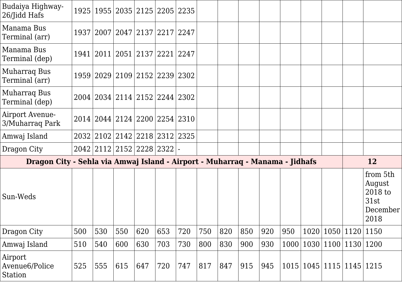| Budaiya Highway-<br>26/Jidd Hafs                                             |     |     |     | 1925   1955   2035   2125   2205   2235 |     |     |     |     |     |     |      |      |           |                |                                                           |
|------------------------------------------------------------------------------|-----|-----|-----|-----------------------------------------|-----|-----|-----|-----|-----|-----|------|------|-----------|----------------|-----------------------------------------------------------|
| Manama Bus<br>Terminal (arr)                                                 |     |     |     | 1937   2007   2047   2137   2217   2247 |     |     |     |     |     |     |      |      |           |                |                                                           |
| Manama Bus<br>Terminal (dep)                                                 |     |     |     | 1941   2011   2051   2137   2221   2247 |     |     |     |     |     |     |      |      |           |                |                                                           |
| Muharraq Bus<br>Terminal (arr)                                               |     |     |     | 1959   2029   2109   2152   2239   2302 |     |     |     |     |     |     |      |      |           |                |                                                           |
| Muharraq Bus<br>Terminal (dep)                                               |     |     |     | 2004   2034   2114   2152   2244   2302 |     |     |     |     |     |     |      |      |           |                |                                                           |
| Airport Avenue-<br>3/Muharraq Park                                           |     |     |     | 2014   2044   2124   2200   2254   2310 |     |     |     |     |     |     |      |      |           |                |                                                           |
| Amwaj Island                                                                 |     |     |     | 2032 2102 2142 2218 2312 2325           |     |     |     |     |     |     |      |      |           |                |                                                           |
| Dragon City                                                                  |     |     |     | 2042 2112 2152 2228 2322 -              |     |     |     |     |     |     |      |      |           |                |                                                           |
| Dragon City - Sehla via Amwaj Island - Airport - Muharraq - Manama - Jidhafs |     |     |     |                                         |     |     |     |     |     |     |      |      |           |                | <b>12</b>                                                 |
| Sun-Weds                                                                     |     |     |     |                                         |     |     |     |     |     |     |      |      |           |                | from 5th<br>August<br>2018 to<br>31st<br>December<br>2018 |
| Dragon City                                                                  | 500 | 530 | 550 | 620                                     | 653 | 720 | 750 | 820 | 850 | 920 | 950  | 1020 | 1050 1120 |                | 1150                                                      |
| Amwaj Island                                                                 | 510 | 540 | 600 | 630                                     | 703 | 730 | 800 | 830 | 900 | 930 | 1000 | 1030 |           | 1100 1130      | 1200                                                      |
| Airport<br>Avenue6/Police<br>Station                                         | 525 | 555 | 615 | 647                                     | 720 | 747 | 817 | 847 | 915 | 945 | 1015 |      |           | 1045 1115 1145 | 1215                                                      |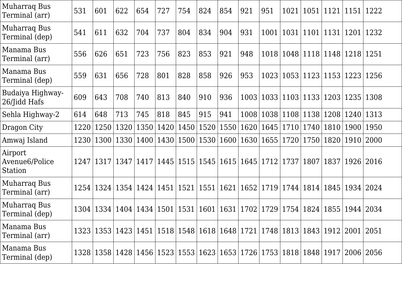| Muharraq Bus<br>Terminal (arr)        | 531  | 601       | 622         | 654  | 727                  | 754  | 824                 | 854  | 921       | 951                                                                                                    | 1021 |                                  |      | 1051   1121   1151 | 1222 |
|---------------------------------------|------|-----------|-------------|------|----------------------|------|---------------------|------|-----------|--------------------------------------------------------------------------------------------------------|------|----------------------------------|------|--------------------|------|
| Muharraq Bus<br>Terminal (dep)        | 541  | 611       | 632         | 704  | 737                  | 804  | 834                 | 904  | 931       | 1001                                                                                                   |      | 1031   1101   1131               |      | $\vert$ 1201       | 1232 |
| Manama Bus<br>Terminal (arr)          | 556  | 626       | 651         | 723  | 756                  | 823  | 853                 | 921  | 948       | 1018                                                                                                   |      | 1048 1118 1148 1218              |      |                    | 1251 |
| Manama Bus<br>Terminal (dep)          | 559  | 631       | 656         | 728  | 801                  | 828  | 858                 | 926  | 953       | 1023                                                                                                   |      | 1053   1123   1153   1223        |      |                    | 1256 |
| Budaiya Highway-<br>26/Jidd Hafs      | 609  | 643       | 708         | 740  | 813                  | 840  | 910                 | 936  | 1003      | 1033                                                                                                   |      | 1103 1133 1203 1235              |      |                    | 1308 |
| Sehla Highway-2                       | 614  | 648       | 713         | 745  | 818                  | 845  | 915                 | 941  | 1008      | 1038                                                                                                   |      | 1108   1138                      |      | 1208 1240          | 1313 |
| Dragon City                           | 1220 | 1250      | 1320        | 1350 | 1420                 | 1450 | 1520                | 1550 | 1620      | 1645                                                                                                   | 1710 | 1740                             | 1810 | 1900               | 1950 |
| Amwaj Island                          | 1230 |           | 1300   1330 | 1400 | $\vert$ 1430 $\vert$ |      | 1500 1530 1600 1630 |      |           | 1655                                                                                                   | 1720 | 1750                             |      | 1820   1910        | 2000 |
| Airport<br>Avenue6/Police<br>Station  |      | 1247 1317 | 1347        | 1417 | 1445                 |      | 1515 1545           |      | 1615 1645 | 1712                                                                                                   | 1737 | 1807                             | 1837 | 1926               | 2016 |
| Muharraq Bus<br>Terminal (arr)        | 1254 |           | 1324   1354 | 1424 | $\vert 1451 \vert$   |      | 1521 1551           | 1621 | 1652      | 1719                                                                                                   |      | 1744 1814                        |      | 1845   1934        | 2024 |
| <b>Muharraq Bus</b><br>Terminal (dep) |      |           |             |      |                      |      |                     |      |           | 1304   1334   1404   1434   1501   1531   1601   1631   1702   1729                                    |      | 1754   1824   1855   1944   2034 |      |                    |      |
| Manama Bus<br>Terminal (arr)          |      |           |             |      |                      |      |                     |      |           | 1323   1353   1423   1451   1518   1548   1618   1648   1721   1748   1813   1843   1912   2001   2051 |      |                                  |      |                    |      |
| Manama Bus<br>Terminal (dep)          |      |           |             |      |                      |      |                     |      |           | 1328   1358   1428   1456   1523   1553   1623   1653   1726   1753   1818   1848   1917   2006   2056 |      |                                  |      |                    |      |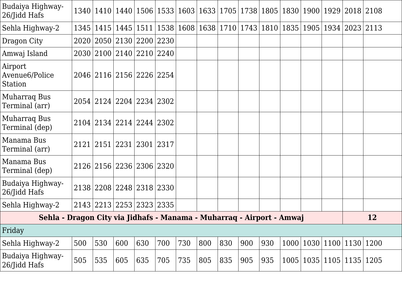|     |     |      |     |     |                                                                                                                                                                                                                                                                                            |     |     |     |     |  |                                                                                       | <b>12</b>                                                                                                                                                                                                      |
|-----|-----|------|-----|-----|--------------------------------------------------------------------------------------------------------------------------------------------------------------------------------------------------------------------------------------------------------------------------------------------|-----|-----|-----|-----|--|---------------------------------------------------------------------------------------|----------------------------------------------------------------------------------------------------------------------------------------------------------------------------------------------------------------|
|     |     |      |     |     |                                                                                                                                                                                                                                                                                            |     |     |     |     |  |                                                                                       |                                                                                                                                                                                                                |
| 500 | 530 | 600  | 630 | 700 | 730                                                                                                                                                                                                                                                                                        | 800 | 830 | 900 | 930 |  |                                                                                       |                                                                                                                                                                                                                |
| 505 | 535 | 605  | 635 | 705 | 735                                                                                                                                                                                                                                                                                        | 805 | 835 | 905 | 935 |  |                                                                                       | 1205                                                                                                                                                                                                           |
|     |     | 2020 |     |     | 1345   1415   1445   1511  <br>2050 2130 2200 2230<br>2030 2100 2140 2210 2240<br>2046 2116 2156 2226 2254<br>2054 2124 2204 2234 2302<br>2104 2134 2214 2244 2302<br>2121 2151 2231 2301 2317<br>2126 2156 2236 2306 2320<br>2138 2208 2248 2318 2330<br>2143   2213   2253   2323   2335 |     |     |     |     |  | Sehla - Dragon City via Jidhafs - Manama - Muharraq - Airport - Amwaj<br>1000<br>1005 | 1340   1410   1440   1506   1533   1603   1633   1705   1738   1805   1830   1900   1929   2018   2108<br> 1538 1608 1638 1710 1743 1810 1835 1905 1934 2023 2113<br>1030 1100 1130 1200<br>1035 1105 <br>1135 |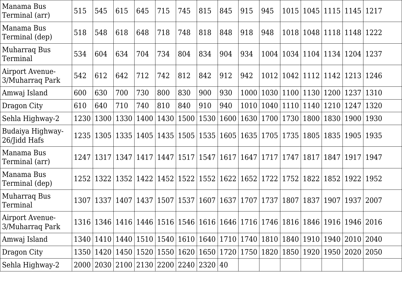| Manama Bus<br>Terminal (arr)       | 515  | 545                | 615                                                 | 645  | 715                  | 745         | 815         | 845  | 915         | 945                                                                                                    |      | 1015   1045   1115   1145 |                    |      | 1217 |
|------------------------------------|------|--------------------|-----------------------------------------------------|------|----------------------|-------------|-------------|------|-------------|--------------------------------------------------------------------------------------------------------|------|---------------------------|--------------------|------|------|
| Manama Bus<br>Terminal (dep)       | 518  | 548                | 618                                                 | 648  | 718                  | 748         | 818         | 848  | 918         | 948                                                                                                    |      | 1018   1048   1118   1148 |                    |      | 1222 |
| Muharraq Bus<br>Terminal           | 534  | 604                | 634                                                 | 704  | 734                  | 804         | 834         | 904  | 934         | 1004                                                                                                   |      | 1034   1104   1134   1204 |                    |      | 1237 |
| Airport Avenue-<br>3/Muharraq Park | 542  | 612                | 642                                                 | 712  | 742                  | 812         | 842         | 912  | 942         | 1012                                                                                                   | 1042 |                           | 1112   1142   1213 |      | 1246 |
| Amwaj Island                       | 600  | 630                | 700                                                 | 730  | 800                  | 830         | 900         | 930  | 1000        | 1030                                                                                                   | 1100 | 1130                      | 1200               | 1237 | 1310 |
| Dragon City                        | 610  | 640                | 710                                                 | 740  | 810                  | 840         | 910         | 940  | 1010        | 1040                                                                                                   |      | 1110 1140                 | 1210               | 1247 | 1320 |
| Sehla Highway-2                    | 1230 | 1300               | 1330                                                | 1400 | 1430                 | 1500        | 1530        | 1600 | 1630        | 1700                                                                                                   | 1730 | 1800                      | 1830   1900        |      | 1930 |
| Budaiya Highway-<br>26/Jidd Hafs   |      |                    | 1235   1305   1335                                  | 1405 | $\vert$ 1435 $\vert$ |             | 1505   1535 |      | 1605   1635 | 1705                                                                                                   | 1735 | 1805                      | 1835   1905        |      | 1935 |
| Manama Bus<br>Terminal (arr)       |      | 1247   1317   1347 |                                                     | 1417 | 1447                 | 1517   1547 |             | 1617 | 1647        | 1717                                                                                                   | 1747 | 1817                      | 1847               | 1917 | 1947 |
| Manama Bus<br>Terminal (dep)       | 1252 | 1322               | 1352                                                | 1422 | $\vert 1452 \vert$   | 1522        | 1552        | 1622 | 1652        | 1722                                                                                                   | 1752 | 1822                      | 1852   1922        |      | 1952 |
| <b>Muharrag Bus</b><br>Terminal    |      | 1307   1337   1407 |                                                     | 1437 | 1507                 | 1537        | 1607        | 1637 | 1707        | 1737                                                                                                   | 1807 | 1837                      | 1907               | 1937 | 2007 |
| Airport Avenue-<br>3/Muharraq Park |      |                    |                                                     |      |                      |             |             |      |             | 1316   1346   1416   1446   1516   1546   1616   1646   1716   1746   1816   1846   1916   1946   2016 |      |                           |                    |      |      |
| Amwaj Island                       |      |                    |                                                     |      |                      |             |             |      |             | 1340   1410   1440   1510   1540   1610   1640   1710   1740   1810                                    |      | 1840   1910   1940   2010 |                    |      | 2040 |
| Dragon City                        |      |                    |                                                     |      |                      |             |             |      |             | 1350   1420   1450   1520   1550   1620   1650   1720   1750   1820                                    |      | 1850   1920               | 1950   2020        |      | 2050 |
| Sehla Highway-2                    |      |                    | 2000   2030   2100   2130   2200   2240   2320   40 |      |                      |             |             |      |             |                                                                                                        |      |                           |                    |      |      |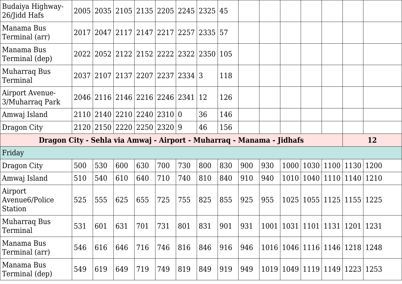| Budaiya Highway-<br>26/Jidd Hafs                                      |     |     |     | 2005 2035 2105 2135 2205 2245 2325                  |     |     |     | 45  |     |      |      |                           |                    |           |
|-----------------------------------------------------------------------|-----|-----|-----|-----------------------------------------------------|-----|-----|-----|-----|-----|------|------|---------------------------|--------------------|-----------|
| Manama Bus<br>Terminal (arr)                                          |     |     |     | 2017   2047   2117   2147   2217   2257   2335   57 |     |     |     |     |     |      |      |                           |                    |           |
| Manama Bus<br>Terminal (dep)                                          |     |     |     | 2022 2052 2122 2152 2222 2322 2350                  |     |     |     | 105 |     |      |      |                           |                    |           |
| Muharraq Bus<br>Terminal                                              |     |     |     | 2037 2107 2137 2207 2237 2334 3                     |     |     |     | 118 |     |      |      |                           |                    |           |
| Airport Avenue-<br>3/Muharrag Park                                    |     |     |     | 2046 2116 2146 2216 2246 2341 12                    |     |     |     | 126 |     |      |      |                           |                    |           |
| Amwaj Island                                                          |     |     |     | 2110 2140 2210 2240 2310 0                          |     |     | 36  | 146 |     |      |      |                           |                    |           |
| Dragon City                                                           |     |     |     | 2120 2150 2220 2250 2320 9                          |     |     | 46  | 156 |     |      |      |                           |                    |           |
|                                                                       |     |     |     |                                                     |     |     |     |     |     |      |      |                           |                    | <b>12</b> |
| Dragon City - Sehla via Amwaj - Airport - Muharrag - Manama - Jidhafs |     |     |     |                                                     |     |     |     |     |     |      |      |                           |                    |           |
| Friday                                                                |     |     |     |                                                     |     |     |     |     |     |      |      |                           |                    |           |
| Dragon City                                                           | 500 | 530 | 600 | 630                                                 | 700 | 730 | 800 | 830 | 900 | 930  | 1000 |                           | 1030 1100 1130     | 1200      |
| Amwaj Island                                                          | 510 | 540 | 610 | 640                                                 | 710 | 740 | 810 | 840 | 910 | 940  | 1010 |                           | 1040 1110 1140     | 1210      |
| Airport<br>Avenue6/Police<br>Station                                  | 525 | 555 | 625 | 655                                                 | 725 | 755 | 825 | 855 | 925 | 955  | 1025 |                           | 1055   1125   1155 | 1225      |
| <b>Muharraq Bus</b><br>Terminal                                       | 531 | 601 | 631 | 701                                                 | 731 | 801 | 831 | 901 | 931 | 1001 |      | 1031   1101   1131   1201 |                    | 1231      |
| Manama Bus<br>Terminal (arr)                                          | 546 | 616 | 646 | 716                                                 | 746 | 816 | 846 | 916 | 946 | 1016 |      | 1046 1116 1146 1218       |                    | 1248      |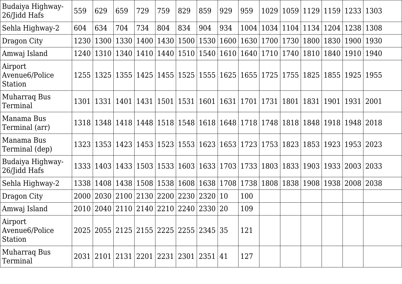| Budaiya Highway-<br>26/Jidd Hafs     | 559   | 629  | 659                | 729                                                 | 759                  | 829 | 859                | 929                                                          | 959  | 1029 |      | 1059 1129 1159 1233 |                    |             | 1303 |
|--------------------------------------|-------|------|--------------------|-----------------------------------------------------|----------------------|-----|--------------------|--------------------------------------------------------------|------|------|------|---------------------|--------------------|-------------|------|
| Sehla Highway-2                      | 604   | 634  | 704                | 734                                                 | 804                  | 834 | 904                | 934                                                          | 1004 | 1034 |      | 1104 1134           |                    | 1204   1238 | 1308 |
| Dragon City                          | 1230  | 1300 | 1330               | 1400                                                | $\vert$ 1430 $\vert$ |     | 1500 1530          | 1600                                                         | 1630 | 1700 | 1730 | 1800                |                    | 1830   1900 | 1930 |
| Amwaj Island                         | 1240  |      |                    | 1310   1340   1410   1440                           |                      |     |                    | 1510 1540 1610 1640                                          |      |      |      | 1710 1740 1810      | 1840   1910        |             | 1940 |
| Airport<br>Avenue6/Police<br>Station | 1255  |      |                    | 1325   1355   1425   1455                           |                      |     |                    | 1525   1555   1625   1655   1725                             |      |      | 1755 | 1825                |                    | 1855   1925 | 1955 |
| Muharraq Bus<br>Terminal             | 1301  | 1331 | 1401   1431        |                                                     | $\vert 1501 \vert$   |     | 1531   1601   1631 |                                                              | 1701 | 1731 | 1801 | 1831   1901         |                    | 1931        | 2001 |
| Manama Bus<br>Terminal (arr)         | 1318  |      |                    | 1348   1418   1448   1518                           |                      |     |                    | 1548   1618   1648   1718   1748   1818   1848   1918   1948 |      |      |      |                     |                    |             | 2018 |
| Manama Bus<br>Terminal (dep)         | 1323  |      | 1353   1423   1453 |                                                     | 1523                 |     |                    | 1553   1623   1653                                           | 1723 | 1753 | 1823 |                     | 1853   1923   1953 |             | 2023 |
| Budaiya Highway-<br>26/Jidd Hafs     | 13331 |      | 1403   1433   1503 |                                                     | 1533                 |     |                    | 1603   1633   1703                                           | 1733 | 1803 |      | 1833   1903         | 1933   2003        |             | 2033 |
| Sehla Highway-2                      | 1338  |      |                    | 1408   1438   1508   1538                           |                      |     |                    | 1608   1638   1708                                           | 1738 | 1808 | 1838 | 1908                |                    | 1938 2008   | 2038 |
| Dragon City                          | 2000  |      |                    | 2030 2100 2130 2200                                 |                      |     | 2230 2320          | 10                                                           | 100  |      |      |                     |                    |             |      |
| Amwaj Island                         | 2010  |      |                    | 2040   2110   2140   2210   2240   2330   20        |                      |     |                    |                                                              | 109  |      |      |                     |                    |             |      |
| Airport<br>Avenue6/Police<br>Station |       |      |                    | 2025   2055   2125   2155   2225   2255   2345   35 |                      |     |                    |                                                              | 121  |      |      |                     |                    |             |      |
| Muharraq Bus<br>Terminal             |       |      |                    | 2031 2101 2131 2201 2231 2301 2351 41               |                      |     |                    |                                                              | 127  |      |      |                     |                    |             |      |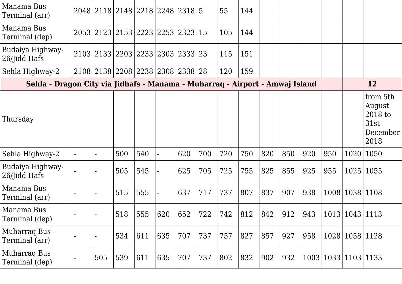| Manama Bus<br>Terminal (arr)                                                 |                              | 2048 2118 2148 2218 2248 2318 5  |     |           |     |     | 55  | 144 |     |     |     |     |                |                                                           |
|------------------------------------------------------------------------------|------------------------------|----------------------------------|-----|-----------|-----|-----|-----|-----|-----|-----|-----|-----|----------------|-----------------------------------------------------------|
| Manama Bus<br>Terminal (dep)                                                 |                              | 2053 2123 2153 2223 2253 2323 15 |     |           |     |     | 105 | 144 |     |     |     |     |                |                                                           |
| Budaiya Highway-<br>26/Jidd Hafs                                             |                              | 2103 2133 2203 2233 2303 2333 23 |     |           |     |     | 115 | 151 |     |     |     |     |                |                                                           |
| Sehla Highway-2                                                              |                              | 2108 2138 2208 2238 2308 2338 28 |     |           |     |     | 120 | 159 |     |     |     |     |                |                                                           |
| Sehla - Dragon City via Jidhafs - Manama - Muharraq - Airport - Amwaj Island |                              |                                  |     |           |     |     |     |     |     |     |     |     |                | 12                                                        |
| Thursday                                                                     |                              |                                  |     |           |     |     |     |     |     |     |     |     |                | from 5th<br>August<br>2018 to<br>31st<br>December<br>2018 |
| Sehla Highway-2                                                              |                              | 500                              | 540 |           | 620 | 700 | 720 | 750 | 820 | 850 | 920 | 950 | 1020           | 1050                                                      |
| Budaiya Highway-<br>26/Jidd Hafs                                             |                              | 505                              | 545 |           | 625 | 705 | 725 | 755 | 825 | 855 | 925 | 955 | 1025           | 1055                                                      |
| Manama Bus<br>Terminal (arr)                                                 | $\overline{\phantom{0}}$     | 515                              | 555 |           | 637 | 717 | 737 | 807 | 837 | 907 | 938 |     | 1008   1038    | 1108                                                      |
| Manama Bus<br>Terminal (dep)                                                 |                              | 518                              | 555 | 620   652 |     | 722 | 742 | 812 | 842 | 912 | 943 |     | 1013 1043 1113 |                                                           |
| <b>Muharraq Bus</b><br>Terminal (arr)                                        | $\qquad \qquad \blacksquare$ | 534                              | 611 | 635       | 707 | 737 | 757 | 827 | 857 | 927 | 958 |     | 1028 1058 1128 |                                                           |
| <b>Muharraq Bus</b><br>Terminal (dep)                                        | 505                          | 539                              | 611 | 635       | 707 | 737 | 802 | 832 | 902 | 932 |     |     | 1003 1033 1103 | 1133                                                      |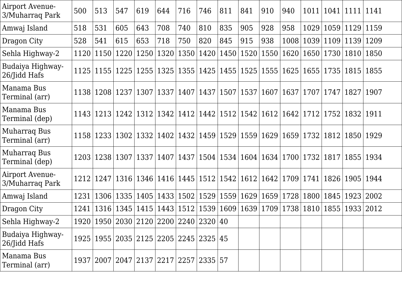| Airport Avenue-<br>3/Muharraq Park | 500  | 513                | 547                                                 | 619  | 644  | 716                              | 746         | 811  | 841                | 910                                                                        | 940  | 1011                      |                    | $1041$  1111 | 1141 |
|------------------------------------|------|--------------------|-----------------------------------------------------|------|------|----------------------------------|-------------|------|--------------------|----------------------------------------------------------------------------|------|---------------------------|--------------------|--------------|------|
| Amwaj Island                       | 518  | 531                | 605                                                 | 643  | 708  | 740                              | 810         | 835  | 905                | 928                                                                        | 958  | 1029                      | 1059               | 1129         | 1159 |
| Dragon City                        | 528  | 541                | 615                                                 | 653  | 718  | 750                              | 820         | 845  | 915                | 938                                                                        | 1008 |                           | 1039 1109          | 1139         | 1209 |
| Sehla Highway-2                    | 1120 |                    | 1150   1220                                         | 1250 | 1320 |                                  | 1350   1420 | 1450 | 1520               | 1550                                                                       | 1620 |                           | 1650   1730        | 1810         | 1850 |
| Budaiya Highway-<br>26/Jidd Hafs   |      |                    | 1125 1155 1225                                      | 1255 |      | 1325   1355   1425               |             |      | 1455   1525        | 1555                                                                       | 1625 |                           | 1655   1735   1815 |              | 1855 |
| Manama Bus<br>Terminal (arr)       |      | 1138 1208 1237     |                                                     | 1307 |      | 1337   1407   1437               |             | 1507 | 1537               | 1607                                                                       | 1637 | 1707                      | 1747               | 1827         | 1907 |
| Manama Bus<br>Terminal (dep)       |      |                    | 1143   1213   1242   1312                           |      |      |                                  |             |      |                    | 1342   1412   1442   1512   1542   1612   1642   1712   1752   1832        |      |                           |                    |              | 1911 |
| Muharraq Bus<br>Terminal (arr)     |      |                    | 1158   1233   1302   1332                           |      |      | 1402   1432   1459   1529   1559 |             |      |                    | 1629                                                                       |      | 1659   1732   1812   1850 |                    |              | 1929 |
| Muharraq Bus<br>Terminal (dep)     |      | 1203   1238   1307 |                                                     | 1337 |      | 1407   1437   1504   1534   1604 |             |      |                    | 1634                                                                       |      | 1700   1732   1817        |                    | 1855         | 1934 |
| Airport Avenue-<br>3/Muharraq Park | 1212 |                    | 1247 1316                                           | 1346 | 1416 |                                  | 1445 1512   | 1542 | $\mid$ 1612 $\mid$ | 1642                                                                       | 1709 | 1741                      |                    | 1826   1905  | 1944 |
| Amwaj Island                       | 1231 | 1306               | 1335                                                | 1405 | 1433 |                                  | 1502   1529 | 1559 | 1629               | 1659                                                                       | 1728 | 1800                      | 1845               | 1923         | 2002 |
| Dragon City                        | 1241 |                    | 1316   1345   1415                                  |      |      |                                  |             |      |                    | 1443   1512   1539   1609   1639   1709   1738   1810   1855   1933   2012 |      |                           |                    |              |      |
| Sehla Highway-2                    |      |                    | 1920   1950   2030   2120   2200   2240   2320      |      |      |                                  |             | 40   |                    |                                                                            |      |                           |                    |              |      |
| Budaiya Highway-<br>26/Jidd Hafs   |      |                    | 1925   1955   2035   2125   2205   2245   2325      |      |      |                                  |             | 45   |                    |                                                                            |      |                           |                    |              |      |
| Manama Bus<br>Terminal (arr)       |      |                    | 1937   2007   2047   2137   2217   2257   2335   57 |      |      |                                  |             |      |                    |                                                                            |      |                           |                    |              |      |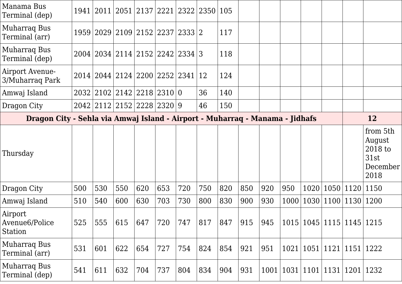| Manama Bus<br>Terminal (dep)                                                 |     |     | 1941   2011   2051   2137   2221   2322   2350 |     |     |     |     | 105 |     |      |      |      |      |                           |                                                           |
|------------------------------------------------------------------------------|-----|-----|------------------------------------------------|-----|-----|-----|-----|-----|-----|------|------|------|------|---------------------------|-----------------------------------------------------------|
| <b>Muharrag Bus</b><br>Terminal (arr)                                        |     |     | 1959 2029 2109 2152 2237 2333 2                |     |     |     |     | 117 |     |      |      |      |      |                           |                                                           |
| <b>Muharraq Bus</b><br>Terminal (dep)                                        |     |     | 2004 2034 2114 2152 2242 2334 3                |     |     |     |     | 118 |     |      |      |      |      |                           |                                                           |
| Airport Avenue-<br>3/Muharraq Park                                           |     |     | 2014   2044   2124   2200   2252   2341        |     |     |     | 12  | 124 |     |      |      |      |      |                           |                                                           |
| Amwaj Island                                                                 |     |     | 2032 2102 2142 2218 2310 0                     |     |     |     | 36  | 140 |     |      |      |      |      |                           |                                                           |
| Dragon City                                                                  |     |     | 2042 2112 2152 2228 2320 9                     |     |     |     | 46  | 150 |     |      |      |      |      |                           |                                                           |
| Dragon City - Sehla via Amwaj Island - Airport - Muharraq - Manama - Jidhafs |     |     |                                                |     |     |     |     |     |     |      |      |      |      | 12                        |                                                           |
| Thursday                                                                     |     |     |                                                |     |     |     |     |     |     |      |      |      |      |                           | from 5th<br>August<br>2018 to<br>31st<br>December<br>2018 |
| Dragon City                                                                  | 500 | 530 | 550                                            | 620 | 653 | 720 | 750 | 820 | 850 | 920  | 950  | 1020 |      | 1050 1120                 | 1150                                                      |
| Amwaj Island                                                                 | 510 | 540 | 600                                            | 630 | 703 | 730 | 800 | 830 | 900 | 930  | 1000 | 1030 |      | 1100 1130                 | 1200                                                      |
| Airport<br>Avenue <sub>6</sub> /Police<br>Station                            | 525 | 555 | 615                                            | 647 | 720 | 747 | 817 | 847 | 915 | 945  | 1015 |      |      | 1045 1115 1145            | 1215                                                      |
| <b>Muharraq Bus</b><br>Terminal (arr)                                        | 531 | 601 | 622                                            | 654 | 727 | 754 | 824 | 854 | 921 | 951  | 1021 | 1051 | 1121 | 1151                      | 1222                                                      |
| Muharraq Bus<br>Terminal (dep)                                               | 541 | 611 | 632                                            | 704 | 737 | 804 | 834 | 904 | 931 | 1001 |      |      |      | 1031   1101   1131   1201 | 1232                                                      |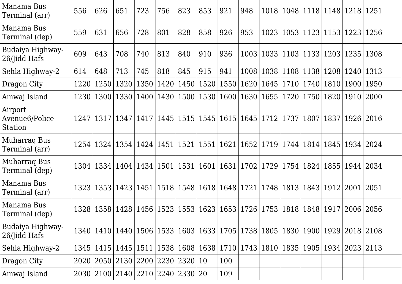| Manama Bus<br>Terminal (arr)          | 556  | 626         | 651                                                                                                    | 723         | 756  | 823                | 853                                                                        | 921  | 948       |                                         |             |                           |      | 1018   1048   1118   1148   1218 | 1251 |
|---------------------------------------|------|-------------|--------------------------------------------------------------------------------------------------------|-------------|------|--------------------|----------------------------------------------------------------------------|------|-----------|-----------------------------------------|-------------|---------------------------|------|----------------------------------|------|
| Manama Bus<br>Terminal (dep)          | 559  | 631         | 656                                                                                                    | 728         | 801  | 828                | 858                                                                        | 926  | 953       | 1023                                    |             | 1053   1123   1153        |      | 1223                             | 1256 |
| Budaiya Highway-<br>26/Jidd Hafs      | 609  | 643         | 708                                                                                                    | 740         | 813  | 840                | 910                                                                        | 936  | 1003      |                                         |             | 1033 1103 1133 1203       |      | 1235                             | 1308 |
| Sehla Highway-2                       | 614  | 648         | 713                                                                                                    | 745         | 818  | 845                | 915                                                                        | 941  | 1008      | 1038                                    |             | 1108 1138 1208            |      | 1240                             | 1313 |
| Dragon City                           | 1220 | 1250        | 1320                                                                                                   | 1350        | 1420 | 1450               | 1520                                                                       | 1550 | 1620      | 1645                                    | 1710        | 1740                      | 1810 | 1900                             | 1950 |
| Amwaj Island                          | 1230 | 1300        |                                                                                                        | 1330 1400   |      |                    | 1430   1500   1530                                                         |      | 1600 1630 | 1655                                    | 1720        | 1750   1820               |      | 1910                             | 2000 |
| Airport<br>Avenue6/Police<br>Station  |      |             | 1247   1317   1347   1417                                                                              |             |      |                    | 1445   1515   1545   1615   1645   1712   1737   1807   1837               |      |           |                                         |             |                           |      | 1926                             | 2016 |
| <b>Muharraq Bus</b><br>Terminal (arr) | 1254 | 1324        |                                                                                                        | 1354   1424 | 1451 | 1521               | 1551                                                                       | 1621 |           | 1652   1719   1744   1814   1845        |             |                           |      | 1934   2024                      |      |
| <b>Muharraq Bus</b><br>Terminal (dep) |      |             | 1304   1334   1404   1434                                                                              |             |      | 1501   1531   1601 |                                                                            |      |           | 1631   1702   1729   1754   1824   1855 |             |                           |      | 1944   2034                      |      |
| Manama Bus<br>Terminal (arr)          |      | 1323   1353 | 1423 1451                                                                                              |             |      |                    | 1518   1548   1618   1648   1721                                           |      |           |                                         | 1748   1813 | 1843 1912                 |      | 2001                             | 2051 |
| Manama Bus<br>Terminal (dep)          |      |             | 1328   1358   1428   1456                                                                              |             |      |                    | 1523   1553   1623   1653   1726                                           |      |           |                                         |             | 1753   1818   1848   1917 |      | 2006                             | 2056 |
| Budaiya Highway-<br>26/Jidd Hafs      |      |             | 1340   1410   1440   1506   1533   1603   1633   1705   1738   1805   1830   1900   1929   2018   2108 |             |      |                    |                                                                            |      |           |                                         |             |                           |      |                                  |      |
| Sehla Highway-2                       | 1345 |             | 1415 1445 1511                                                                                         |             |      |                    | 1538   1608   1638   1710   1743   1810   1835   1905   1934   2023   2113 |      |           |                                         |             |                           |      |                                  |      |
| Dragon City                           |      |             | 2020 2050 2130 2200 2230 2320 10                                                                       |             |      |                    |                                                                            | 100  |           |                                         |             |                           |      |                                  |      |
| Amwaj Island                          |      |             | 2030 2100 2140 2210 2240 2330 20                                                                       |             |      |                    |                                                                            | 109  |           |                                         |             |                           |      |                                  |      |